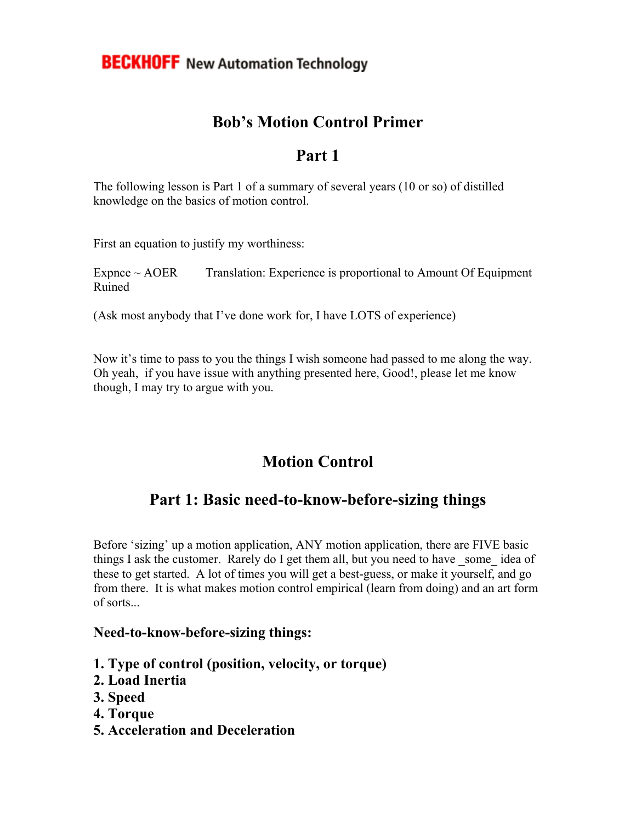## **Bob's Motion Control Primer**

### **Part 1**

The following lesson is Part 1 of a summary of several years (10 or so) of distilled knowledge on the basics of motion control.

First an equation to justify my worthiness:

 $Expnce \sim AOER$  Translation: Experience is proportional to Amount Of Equipment Ruined

(Ask most anybody that I've done work for, I have LOTS of experience)

Now it's time to pass to you the things I wish someone had passed to me along the way. Oh yeah, if you have issue with anything presented here, Good!, please let me know though, I may try to argue with you.

# **Motion Control**

## **Part 1: Basic need-to-know-before-sizing things**

Before 'sizing' up a motion application, ANY motion application, there are FIVE basic things I ask the customer. Rarely do I get them all, but you need to have some idea of these to get started. A lot of times you will get a best-guess, or make it yourself, and go from there. It is what makes motion control empirical (learn from doing) and an art form of sorts...

#### **Need-to-know-before-sizing things:**

- **1. Type of control (position, velocity, or torque)**
- **2. Load Inertia**
- **3. Speed**
- **4. Torque**
- **5. Acceleration and Deceleration**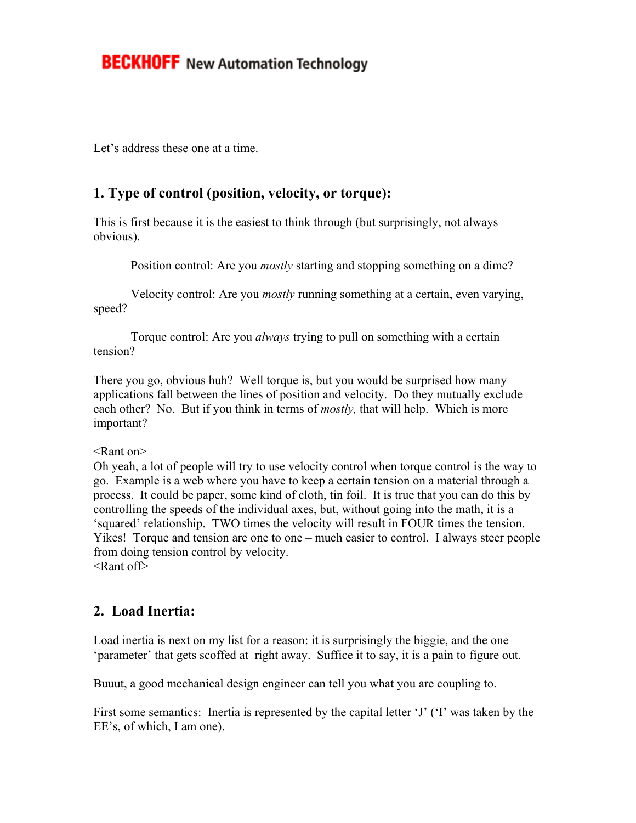## **BECKHOFF** New Automation Technology

Let's address these one at a time.

#### **1. Type of control (position, velocity, or torque):**

This is first because it is the easiest to think through (but surprisingly, not always obvious).

Position control: Are you *mostly* starting and stopping something on a dime?

 Velocity control: Are you *mostly* running something at a certain, even varying, speed?

 Torque control: Are you *always* trying to pull on something with a certain tension?

There you go, obvious huh? Well torque is, but you would be surprised how many applications fall between the lines of position and velocity. Do they mutually exclude each other? No. But if you think in terms of *mostly,* that will help. Which is more important?

<Rant on>

Oh yeah, a lot of people will try to use velocity control when torque control is the way to go. Example is a web where you have to keep a certain tension on a material through a process. It could be paper, some kind of cloth, tin foil. It is true that you can do this by controlling the speeds of the individual axes, but, without going into the math, it is a 'squared' relationship. TWO times the velocity will result in FOUR times the tension. Yikes! Torque and tension are one to one – much easier to control. I always steer people from doing tension control by velocity. <Rant off>

#### **2. Load Inertia:**

Load inertia is next on my list for a reason: it is surprisingly the biggie, and the one 'parameter' that gets scoffed at right away. Suffice it to say, it is a pain to figure out.

Buuut, a good mechanical design engineer can tell you what you are coupling to.

First some semantics: Inertia is represented by the capital letter 'J' ('I' was taken by the EE's, of which, I am one).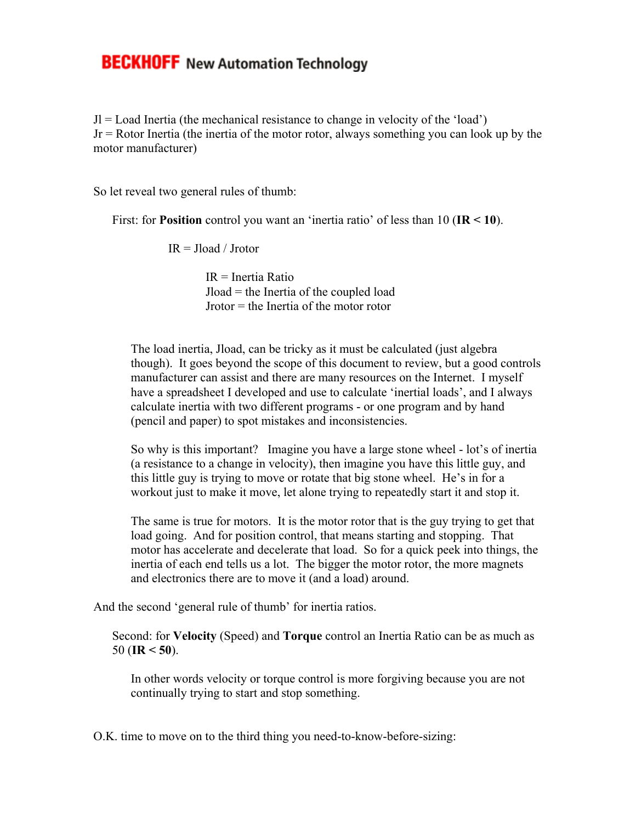### **BECKHOFF** New Automation Technology

 $J =$  Load Inertia (the mechanical resistance to change in velocity of the 'load') Jr = Rotor Inertia (the inertia of the motor rotor, always something you can look up by the motor manufacturer)

So let reveal two general rules of thumb:

First: for **Position** control you want an 'inertia ratio' of less than 10 (**IR < 10**).

 $IR = Iload / Irotor$ 

 $IR = Inertia Ratio$  Jload = the Inertia of the coupled load Jrotor = the Inertia of the motor rotor

The load inertia, Jload, can be tricky as it must be calculated (just algebra though). It goes beyond the scope of this document to review, but a good controls manufacturer can assist and there are many resources on the Internet. I myself have a spreadsheet I developed and use to calculate 'inertial loads', and I always calculate inertia with two different programs - or one program and by hand (pencil and paper) to spot mistakes and inconsistencies.

So why is this important? Imagine you have a large stone wheel - lot's of inertia (a resistance to a change in velocity), then imagine you have this little guy, and this little guy is trying to move or rotate that big stone wheel. He's in for a workout just to make it move, let alone trying to repeatedly start it and stop it.

The same is true for motors. It is the motor rotor that is the guy trying to get that load going. And for position control, that means starting and stopping. That motor has accelerate and decelerate that load. So for a quick peek into things, the inertia of each end tells us a lot. The bigger the motor rotor, the more magnets and electronics there are to move it (and a load) around.

And the second 'general rule of thumb' for inertia ratios.

Second: for **Velocity** (Speed) and **Torque** control an Inertia Ratio can be as much as 50 (**IR < 50**).

In other words velocity or torque control is more forgiving because you are not continually trying to start and stop something.

O.K. time to move on to the third thing you need-to-know-before-sizing: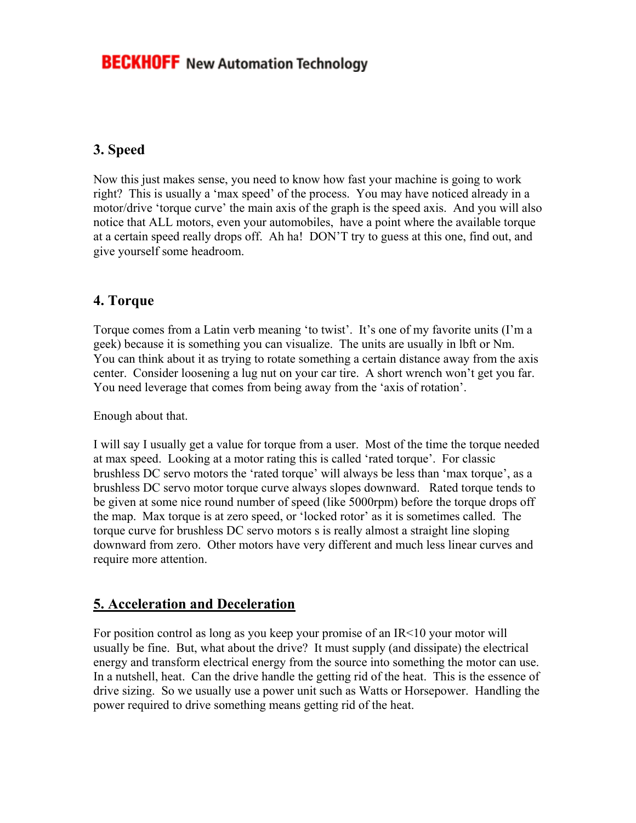### **3. Speed**

Now this just makes sense, you need to know how fast your machine is going to work right? This is usually a 'max speed' of the process. You may have noticed already in a motor/drive 'torque curve' the main axis of the graph is the speed axis. And you will also notice that ALL motors, even your automobiles, have a point where the available torque at a certain speed really drops off. Ah ha! DON'T try to guess at this one, find out, and give yourself some headroom.

#### **4. Torque**

Torque comes from a Latin verb meaning 'to twist'. It's one of my favorite units (I'm a geek) because it is something you can visualize. The units are usually in lbft or Nm. You can think about it as trying to rotate something a certain distance away from the axis center. Consider loosening a lug nut on your car tire. A short wrench won't get you far. You need leverage that comes from being away from the 'axis of rotation'.

Enough about that.

I will say I usually get a value for torque from a user. Most of the time the torque needed at max speed. Looking at a motor rating this is called 'rated torque'. For classic brushless DC servo motors the 'rated torque' will always be less than 'max torque', as a brushless DC servo motor torque curve always slopes downward. Rated torque tends to be given at some nice round number of speed (like 5000rpm) before the torque drops off the map. Max torque is at zero speed, or 'locked rotor' as it is sometimes called. The torque curve for brushless DC servo motors s is really almost a straight line sloping downward from zero. Other motors have very different and much less linear curves and require more attention.

### **5. Acceleration and Deceleration**

For position control as long as you keep your promise of an IR<10 your motor will usually be fine. But, what about the drive? It must supply (and dissipate) the electrical energy and transform electrical energy from the source into something the motor can use. In a nutshell, heat. Can the drive handle the getting rid of the heat. This is the essence of drive sizing. So we usually use a power unit such as Watts or Horsepower. Handling the power required to drive something means getting rid of the heat.